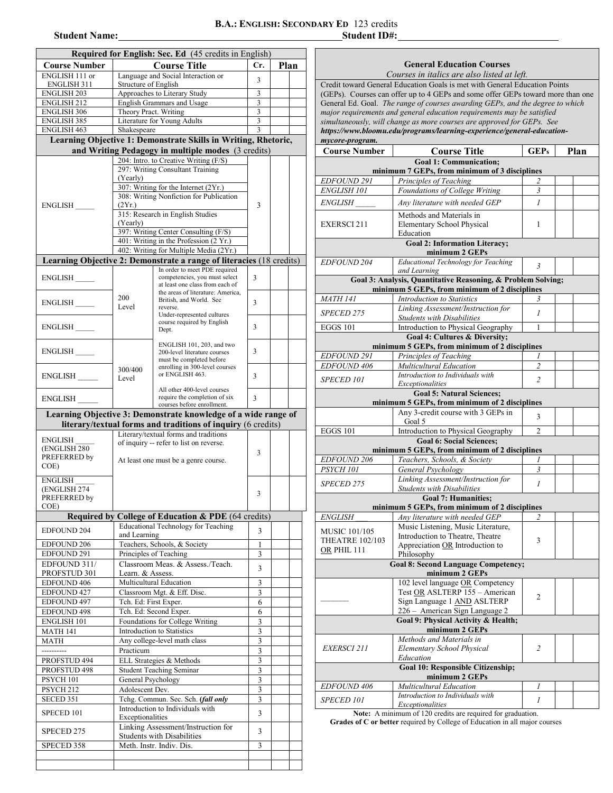## **B.A.: ENGLISH: SECONDARY ED** 123 credits **Student Name: B.A.: ENGLISH: SECONDARY ED** 123 credits<br>Student ID#:

| Required for English: Sec. Ed (45 credits in English) |                                                               |                                                                                                       |        |  |  |  |  |  |
|-------------------------------------------------------|---------------------------------------------------------------|-------------------------------------------------------------------------------------------------------|--------|--|--|--|--|--|
| <b>Course Number</b>                                  | <b>Course Title</b>                                           | Cr.                                                                                                   | Plan   |  |  |  |  |  |
| ENGLISH 111 or                                        | Language and Social Interaction or                            | 3                                                                                                     |        |  |  |  |  |  |
| ENGLISH 311                                           | Structure of English                                          |                                                                                                       |        |  |  |  |  |  |
| <b>ENGLISH 203</b><br><b>ENGLISH 212</b>              | Approaches to Literary Study<br>English Grammars and Usage    | 3<br>3                                                                                                |        |  |  |  |  |  |
| <b>ENGLISH 306</b>                                    | Theory Pract. Writing                                         | 3                                                                                                     |        |  |  |  |  |  |
| <b>ENGLISH 385</b>                                    | Literature for Young Adults                                   | 3                                                                                                     |        |  |  |  |  |  |
| ENGLISH 463                                           | Shakespeare                                                   | 3                                                                                                     |        |  |  |  |  |  |
|                                                       |                                                               | Learning Objective 1: Demonstrate Skills in Writing, Rhetoric,                                        |        |  |  |  |  |  |
|                                                       |                                                               | and Writing Pedagogy in multiple modes (3 credits)                                                    |        |  |  |  |  |  |
|                                                       |                                                               | 204: Intro. to Creative Writing (F/S)<br>297: Writing Consultant Training                             |        |  |  |  |  |  |
|                                                       | (Yearly)                                                      |                                                                                                       |        |  |  |  |  |  |
|                                                       |                                                               | 307: Writing for the Internet (2Yr.)                                                                  |        |  |  |  |  |  |
| ENGLISH                                               | (2Yr.)                                                        | 308: Writing Nonfiction for Publication                                                               | 3      |  |  |  |  |  |
|                                                       |                                                               | 315: Research in English Studies                                                                      |        |  |  |  |  |  |
|                                                       | (Yearly)                                                      |                                                                                                       |        |  |  |  |  |  |
|                                                       |                                                               | 397: Writing Center Consulting (F/S)                                                                  |        |  |  |  |  |  |
|                                                       |                                                               | 401: Writing in the Profession (2 Yr.)<br>402: Writing for Multiple Media (2Yr.)                      |        |  |  |  |  |  |
|                                                       |                                                               | Learning Objective 2: Demonstrate a range of literacies (18 credits)                                  |        |  |  |  |  |  |
|                                                       |                                                               | In order to meet PDE required                                                                         |        |  |  |  |  |  |
| ENGLISH                                               |                                                               | competencies, you must select<br>at least one class from each of                                      | 3      |  |  |  |  |  |
|                                                       |                                                               | the areas of literature: America,                                                                     |        |  |  |  |  |  |
| ENGLISH                                               | 200<br>Level                                                  | British, and World. See<br>reverse.                                                                   | 3      |  |  |  |  |  |
|                                                       |                                                               | Under-represented cultures                                                                            |        |  |  |  |  |  |
| ENGLISH                                               |                                                               | course required by English<br>Dept.                                                                   | 3      |  |  |  |  |  |
|                                                       |                                                               |                                                                                                       |        |  |  |  |  |  |
| ENGLISH                                               |                                                               | ENGLISH 101, 203, and two<br>200-level literature courses                                             | 3      |  |  |  |  |  |
|                                                       |                                                               | must be completed before                                                                              |        |  |  |  |  |  |
| ENGLISH                                               | 300/400                                                       | enrolling in 300-level courses<br>or ENGLISH 463.                                                     | 3      |  |  |  |  |  |
|                                                       | Level                                                         |                                                                                                       |        |  |  |  |  |  |
| ENGLISH                                               |                                                               | All other 400-level courses<br>require the completion of six                                          | 3      |  |  |  |  |  |
|                                                       |                                                               |                                                                                                       |        |  |  |  |  |  |
|                                                       |                                                               | Learning Objective 3: Demonstrate knowledge of a wide range of                                        |        |  |  |  |  |  |
|                                                       |                                                               | literary/textual forms and traditions of inquiry (6 credits)<br>Literary/textual forms and traditions |        |  |  |  |  |  |
| ENGLISH                                               | of inquiry -- refer to list on reverse.                       |                                                                                                       |        |  |  |  |  |  |
| (ENGLISH 280<br>PREFERRED by                          |                                                               | 3                                                                                                     |        |  |  |  |  |  |
| COE)                                                  | At least one must be a genre course.                          |                                                                                                       |        |  |  |  |  |  |
| <b>ENGLISH</b>                                        |                                                               |                                                                                                       |        |  |  |  |  |  |
| (ENGLISH 274                                          |                                                               |                                                                                                       |        |  |  |  |  |  |
| PREFERRED by                                          |                                                               | 3                                                                                                     |        |  |  |  |  |  |
| COE)                                                  |                                                               | Required by College of Education & PDE (64 credits)                                                   |        |  |  |  |  |  |
|                                                       |                                                               | <b>Educational Technology for Teaching</b>                                                            |        |  |  |  |  |  |
| <b>EDFOUND 204</b>                                    | and Learning                                                  |                                                                                                       | 3      |  |  |  |  |  |
| EDFOUND 206                                           | Teachers, Schools, & Society                                  | $\mathbf{1}$                                                                                          |        |  |  |  |  |  |
| EDFOUND 291                                           | Principles of Teaching<br>Classroom Meas. & Assess./Teach.    | 3                                                                                                     |        |  |  |  |  |  |
| EDFOUND 311/<br>PROFSTUD 301                          | Learn. & Assess.                                              | 3                                                                                                     |        |  |  |  |  |  |
| EDFOUND 406                                           | Multicultural Education                                       | 3                                                                                                     |        |  |  |  |  |  |
| EDFOUND 427                                           | Classroom Mgt. & Eff. Disc.                                   | 3                                                                                                     |        |  |  |  |  |  |
| EDFOUND <sub>497</sub>                                | Tch. Ed: First Exper.                                         | 6                                                                                                     |        |  |  |  |  |  |
| EDFOUND 498                                           | Tch. Ed: Second Exper.                                        | 6                                                                                                     |        |  |  |  |  |  |
| ENGLISH 101<br><b>MATH 141</b>                        | Foundations for College Writing<br>Introduction to Statistics | 3<br>3                                                                                                |        |  |  |  |  |  |
| <b>MATH</b>                                           | Any college-level math class                                  | $\overline{\mathbf{3}}$                                                                               |        |  |  |  |  |  |
|                                                       | Practicum                                                     | 3                                                                                                     |        |  |  |  |  |  |
| PROFSTUD 494                                          | ELL Strategies & Methods                                      | 3                                                                                                     |        |  |  |  |  |  |
| PROFSTUD 498                                          | <b>Student Teaching Seminar</b>                               | $\overline{\mathbf{3}}$                                                                               |        |  |  |  |  |  |
| PSYCH 101                                             | General Psychology                                            | $\overline{\mathbf{3}}$                                                                               |        |  |  |  |  |  |
| PSYCH <sub>212</sub><br>SECED 351                     | Adolescent Dev.                                               | Tchg. Commun. Sec. Sch. (fall only                                                                    | 3<br>3 |  |  |  |  |  |
|                                                       |                                                               | Introduction to Individuals with                                                                      |        |  |  |  |  |  |
| SPECED 101                                            | 3<br>Exceptionalities                                         |                                                                                                       |        |  |  |  |  |  |
| SPECED 275                                            |                                                               | Linking Assessment/Instruction for                                                                    | 3      |  |  |  |  |  |
|                                                       | Students with Disabilities                                    | 3                                                                                                     |        |  |  |  |  |  |
| SPECED 358                                            | Meth. Instr. Indiv. Dis.                                      |                                                                                                       |        |  |  |  |  |  |
|                                                       |                                                               |                                                                                                       |        |  |  |  |  |  |

|                                       | <b>General Education Courses</b>                                                                                                                 |                |      |  |  |
|---------------------------------------|--------------------------------------------------------------------------------------------------------------------------------------------------|----------------|------|--|--|
|                                       | Courses in italics are also listed at left.                                                                                                      |                |      |  |  |
|                                       | Credit toward General Education Goals is met with General Education Points                                                                       |                |      |  |  |
|                                       | (GEPs). Courses can offer up to 4 GEPs and some offer GEPs toward more than one                                                                  |                |      |  |  |
|                                       | General Ed. Goal. The range of courses awarding GEPs, and the degree to which                                                                    |                |      |  |  |
|                                       | major requirements and general education requirements may be satisfied<br>simultaneously, will change as more courses are approved for GEPs. See |                |      |  |  |
|                                       | https://www.bloomu.edu/programs/learning-experience/general-education-                                                                           |                |      |  |  |
| mycore-program.                       |                                                                                                                                                  |                |      |  |  |
| <b>Course Number</b>                  | <b>Course Title</b>                                                                                                                              | GEPs           | Plan |  |  |
|                                       | <b>Goal 1: Communication:</b><br>minimum 7 GEPs, from minimum of 3 disciplines                                                                   |                |      |  |  |
| <b>EDFOUND 291</b>                    | Principles of Teaching                                                                                                                           | 2              |      |  |  |
| <b>ENGLISH 101</b>                    | Foundations of College Writing                                                                                                                   | 3              |      |  |  |
| <i>ENGLISH</i>                        | Any literature with needed GEP                                                                                                                   | $\mathcal{I}$  |      |  |  |
|                                       | Methods and Materials in                                                                                                                         |                |      |  |  |
| <b>EXERSCI211</b>                     | Elementary School Physical                                                                                                                       | 1              |      |  |  |
|                                       | Education                                                                                                                                        |                |      |  |  |
|                                       | <b>Goal 2: Information Literacy;</b><br>minimum 2 GEPs                                                                                           |                |      |  |  |
| EDFOUND 204                           | Educational Technology for Teaching                                                                                                              | $\mathfrak{Z}$ |      |  |  |
|                                       | and Learning<br>Goal 3: Analysis, Quantitative Reasoning, & Problem Solving;                                                                     |                |      |  |  |
|                                       | minimum 5 GEPs, from minimum of 2 disciplines                                                                                                    |                |      |  |  |
| <b>MATH 141</b>                       | Introduction to Statistics                                                                                                                       | 3              |      |  |  |
| SPECED 275                            | Linking Assessment/Instruction for                                                                                                               | $\mathcal{I}$  |      |  |  |
|                                       | <b>Students with Disabilities</b>                                                                                                                |                |      |  |  |
| <b>EGGS 101</b>                       | Introduction to Physical Geography                                                                                                               | 1              |      |  |  |
|                                       | Goal 4: Cultures & Diversity;<br>minimum 5 GEPs, from minimum of 2 disciplines                                                                   |                |      |  |  |
| <b>EDFOUND 291</b>                    | Principles of Teaching                                                                                                                           | I              |      |  |  |
| <b>EDFOUND 406</b>                    | Multicultural Education                                                                                                                          | $\overline{2}$ |      |  |  |
| SPECED 101                            | Introduction to Individuals with<br>Exceptionalities                                                                                             | $\overline{c}$ |      |  |  |
|                                       | <b>Goal 5: Natural Sciences:</b>                                                                                                                 |                |      |  |  |
|                                       | minimum 5 GEPs, from minimum of 2 disciplines                                                                                                    |                |      |  |  |
|                                       | Any 3-credit course with 3 GEPs in                                                                                                               | 3              |      |  |  |
| <b>EGGS 101</b>                       | Goal 5<br>Introduction to Physical Geography                                                                                                     |                |      |  |  |
|                                       | <b>Goal 6: Social Sciences;</b>                                                                                                                  |                |      |  |  |
|                                       | minimum 5 GEPs, from minimum of 2 disciplines                                                                                                    |                |      |  |  |
| EDFOUND 206<br>PSYCH 101              | Teachers, Schools, & Society                                                                                                                     | 1              |      |  |  |
|                                       | General Psychology<br>Linking Assessment/Instruction for                                                                                         | 3              |      |  |  |
| SPECED 275                            | <b>Students with Disabilities</b>                                                                                                                | 1              |      |  |  |
|                                       | <b>Goal 7: Humanities;</b>                                                                                                                       |                |      |  |  |
| <b>ENGLISH</b>                        | minimum 5 GEPs, from minimum of 2 disciplines<br>Any literature with needed GEP                                                                  | 2              |      |  |  |
|                                       | Music Listening, Music Literature,                                                                                                               |                |      |  |  |
| <b>MUSIC 101/105</b>                  | Introduction to Theatre, Theatre                                                                                                                 |                |      |  |  |
| <b>THEATRE 102/103</b><br>OR PHIL 111 | Appreciation OR Introduction to                                                                                                                  | 3              |      |  |  |
|                                       | Philosophy                                                                                                                                       |                |      |  |  |
|                                       | <b>Goal 8: Second Language Competency;</b><br>minimum 2 GEPs                                                                                     |                |      |  |  |
|                                       | 102 level language OR Competency                                                                                                                 |                |      |  |  |
|                                       | Test OR ASLTERP 155 - American<br>Sign Language 1 AND ASLTERP                                                                                    | $\overline{2}$ |      |  |  |
|                                       |                                                                                                                                                  |                |      |  |  |
|                                       | 226 - American Sign Language 2<br>Goal 9: Physical Activity & Health;                                                                            |                |      |  |  |
|                                       | minimum 2 GEPs                                                                                                                                   |                |      |  |  |
|                                       | Methods and Materials in                                                                                                                         |                |      |  |  |
| <i>EXERSCI</i> 211                    | Elementary School Physical                                                                                                                       | 2              |      |  |  |
|                                       | Education<br>Cool 10: Despensible Citizenship                                                                                                    |                |      |  |  |

|                                          | Education                                            |  |  |  |  |  |
|------------------------------------------|------------------------------------------------------|--|--|--|--|--|
| <b>Goal 10: Responsible Citizenship:</b> |                                                      |  |  |  |  |  |
|                                          | minimum 2 GEPs                                       |  |  |  |  |  |
| <i>EDFOUND 406</i>                       | <b>Multicultural Education</b>                       |  |  |  |  |  |
| <i>SPECED 101</i>                        | Introduction to Individuals with<br>Exceptionalities |  |  |  |  |  |

**Note:** A minimum of 120 credits are required for graduation. **Grades of C or better** required by College of Education in all major courses